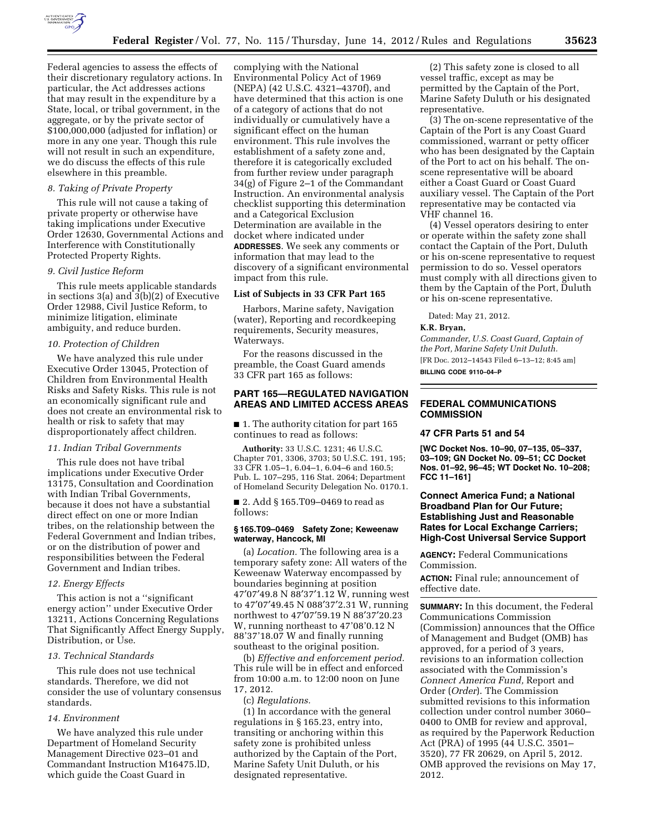

Federal agencies to assess the effects of their discretionary regulatory actions. In particular, the Act addresses actions that may result in the expenditure by a State, local, or tribal government, in the aggregate, or by the private sector of \$100,000,000 (adjusted for inflation) or more in any one year. Though this rule will not result in such an expenditure, we do discuss the effects of this rule elsewhere in this preamble.

## *8. Taking of Private Property*

This rule will not cause a taking of private property or otherwise have taking implications under Executive Order 12630, Governmental Actions and Interference with Constitutionally Protected Property Rights.

#### *9. Civil Justice Reform*

This rule meets applicable standards in sections 3(a) and 3(b)(2) of Executive Order 12988, Civil Justice Reform, to minimize litigation, eliminate ambiguity, and reduce burden.

#### *10. Protection of Children*

We have analyzed this rule under Executive Order 13045, Protection of Children from Environmental Health Risks and Safety Risks. This rule is not an economically significant rule and does not create an environmental risk to health or risk to safety that may disproportionately affect children.

## *11. Indian Tribal Governments*

This rule does not have tribal implications under Executive Order 13175, Consultation and Coordination with Indian Tribal Governments, because it does not have a substantial direct effect on one or more Indian tribes, on the relationship between the Federal Government and Indian tribes, or on the distribution of power and responsibilities between the Federal Government and Indian tribes.

## *12. Energy Effects*

This action is not a ''significant energy action'' under Executive Order 13211, Actions Concerning Regulations That Significantly Affect Energy Supply, Distribution, or Use.

#### *13. Technical Standards*

This rule does not use technical standards. Therefore, we did not consider the use of voluntary consensus standards.

# *14. Environment*

We have analyzed this rule under Department of Homeland Security Management Directive 023–01 and Commandant Instruction M16475.lD, which guide the Coast Guard in

complying with the National Environmental Policy Act of 1969 (NEPA) (42 U.S.C. 4321–4370f), and have determined that this action is one of a category of actions that do not individually or cumulatively have a significant effect on the human environment. This rule involves the establishment of a safety zone and, therefore it is categorically excluded from further review under paragraph 34(g) of Figure 2–1 of the Commandant Instruction. An environmental analysis checklist supporting this determination and a Categorical Exclusion Determination are available in the docket where indicated under **ADDRESSES**. We seek any comments or information that may lead to the discovery of a significant environmental impact from this rule.

## **List of Subjects in 33 CFR Part 165**

Harbors, Marine safety, Navigation (water), Reporting and recordkeeping requirements, Security measures, Waterways.

For the reasons discussed in the preamble, the Coast Guard amends 33 CFR part 165 as follows:

# **PART 165—REGULATED NAVIGATION AREAS AND LIMITED ACCESS AREAS**

■ 1. The authority citation for part 165 continues to read as follows:

**Authority:** 33 U.S.C. 1231; 46 U.S.C. Chapter 701, 3306, 3703; 50 U.S.C. 191, 195; 33 CFR 1.05–1, 6.04–1, 6.04–6 and 160.5; Pub. L. 107–295, 116 Stat. 2064; Department of Homeland Security Delegation No. 0170.1.

■ 2. Add § 165.T09-0469 to read as follows:

## **§ 165.T09–0469 Safety Zone; Keweenaw waterway, Hancock, MI**

(a) *Location.* The following area is a temporary safety zone: All waters of the Keweenaw Waterway encompassed by boundaries beginning at position 47′07′49.8 N 88′37′1.12 W, running west to 47′07′49.45 N 088′37′2.31 W, running northwest to 47′07′59.19 N 88′37′20.23 W, running northeast to 47'08'0.12 N 88'37'18.07 W and finally running southeast to the original position.

(b) *Effective and enforcement period.*  This rule will be in effect and enforced from 10:00 a.m. to 12:00 noon on June 17, 2012.

(c) *Regulations.* 

(1) In accordance with the general regulations in § 165.23, entry into, transiting or anchoring within this safety zone is prohibited unless authorized by the Captain of the Port, Marine Safety Unit Duluth, or his designated representative.

(2) This safety zone is closed to all vessel traffic, except as may be permitted by the Captain of the Port, Marine Safety Duluth or his designated representative.

(3) The on-scene representative of the Captain of the Port is any Coast Guard commissioned, warrant or petty officer who has been designated by the Captain of the Port to act on his behalf. The onscene representative will be aboard either a Coast Guard or Coast Guard auxiliary vessel. The Captain of the Port representative may be contacted via VHF channel 16.

(4) Vessel operators desiring to enter or operate within the safety zone shall contact the Captain of the Port, Duluth or his on-scene representative to request permission to do so. Vessel operators must comply with all directions given to them by the Captain of the Port, Duluth or his on-scene representative.

Dated: May 21, 2012.

## **K.R. Bryan,**

*Commander, U.S. Coast Guard, Captain of the Port, Marine Safety Unit Duluth.*  [FR Doc. 2012–14543 Filed 6–13–12; 8:45 am]

**BILLING CODE 9110–04–P** 

### **FEDERAL COMMUNICATIONS COMMISSION**

#### **47 CFR Parts 51 and 54**

**[WC Docket Nos. 10–90, 07–135, 05–337, 03–109; GN Docket No. 09–51; CC Docket Nos. 01–92, 96–45; WT Docket No. 10–208; FCC 11–161]** 

## **Connect America Fund; a National Broadband Plan for Our Future; Establishing Just and Reasonable Rates for Local Exchange Carriers; High-Cost Universal Service Support**

**AGENCY:** Federal Communications Commission.

**ACTION:** Final rule; announcement of effective date.

**SUMMARY:** In this document, the Federal Communications Commission (Commission) announces that the Office of Management and Budget (OMB) has approved, for a period of 3 years, revisions to an information collection associated with the Commission's *Connect America Fund,* Report and Order (*Order*). The Commission submitted revisions to this information collection under control number 3060– 0400 to OMB for review and approval, as required by the Paperwork Reduction Act (PRA) of 1995 (44 U.S.C. 3501– 3520), 77 FR 20629, on April 5, 2012. OMB approved the revisions on May 17, 2012.